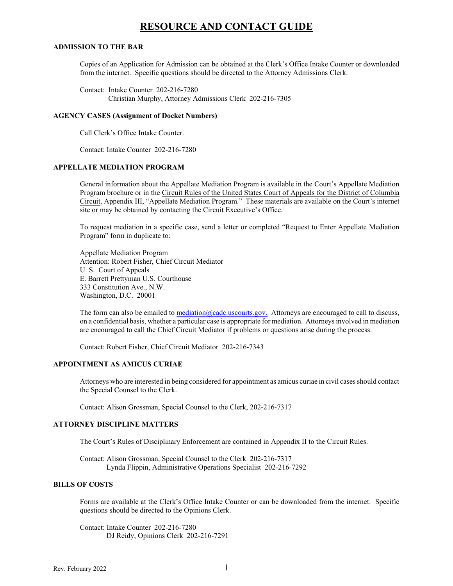# **RESOURCE AND CONTACT GUIDE**

#### **ADMISSION TO THE BAR**

Copies of an Application for Admission can be obtained at the Clerk's Office Intake Counter or downloaded from the internet. Specific questions should be directed to the Attorney Admissions Clerk.

Contact: Intake Counter 202-216-7280 Christian Murphy, Attorney Admissions Clerk 202-216-7305

#### **AGENCY CASES (Assignment of Docket Numbers)**

Call Clerk's Office Intake Counter.

Contact: Intake Counter 202-216-7280

# **APPELLATE MEDIATION PROGRAM**

General information about the Appellate Mediation Program is available in the Court's Appellate Mediation Program brochure or in the Circuit Rules of the United States Court of Appeals for the District of Columbia Circuit, Appendix III, "Appellate Mediation Program." These materials are available on the Court's internet site or may be obtained by contacting the Circuit Executive's Office.

To request mediation in a specific case, send a letter or completed "Request to Enter Appellate Mediation Program" form in duplicate to:

Appellate Mediation Program Attention: Robert Fisher, Chief Circuit Mediator U. S. Court of Appeals E. Barrett Prettyman U.S. Courthouse 333 Constitution Ave., N.W. Washington, D.C. 20001

The form can also be emailed to [mediation@cadc.uscourts.gov.](mailto:mediation@cadc.uscourts.gov) Attorneys are encouraged to call to discuss, on a confidential basis, whether a particular case is appropriate for mediation. Attorneys involved in mediation are encouraged to call the Chief Circuit Mediator if problems or questions arise during the process.

Contact: Robert Fisher, Chief Circuit Mediator 202-216-7343

### **APPOINTMENT AS AMICUS CURIAE**

Attorneys who are interested in being considered for appointment as amicus curiae in civil casesshould contact the Special Counsel to the Clerk.

Contact: Alison Grossman, Special Counsel to the Clerk, 202-216-7317

#### **ATTORNEY DISCIPLINE MATTERS**

The Court's Rules of Disciplinary Enforcement are contained in Appendix II to the Circuit Rules.

Contact: Alison Grossman, Special Counsel to the Clerk 202-216-7317 Lynda Flippin, Administrative Operations Specialist 202-216-7292

### **BILLS OF COSTS**

Forms are available at the Clerk's Office Intake Counter or can be downloaded from the internet. Specific questions should be directed to the Opinions Clerk.

Contact: Intake Counter 202-216-7280 DJ Reidy, Opinions Clerk 202-216-7291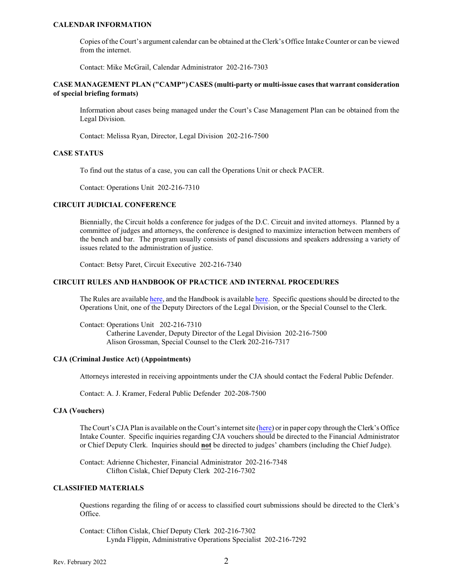### **CALENDAR INFORMATION**

Copies of the Court's argument calendar can be obtained at the Clerk's Office Intake Counter or can be viewed from the internet.

Contact: Mike McGrail, Calendar Administrator 202-216-7303

# **CASE MANAGEMENT PLAN ("CAMP") CASES (multi-party or multi-issue cases that warrant consideration of special briefing formats)**

Information about cases being managed under the Court's Case Management Plan can be obtained from the Legal Division.

Contact: Melissa Ryan, Director, Legal Division 202-216-7500

### **CASE STATUS**

To find out the status of a case, you can call the Operations Unit or check PACER.

Contact: Operations Unit 202-216-7310

### **CIRCUIT JUDICIAL CONFERENCE**

Biennially, the Circuit holds a conference for judges of the D.C. Circuit and invited attorneys. Planned by a committee of judges and attorneys, the conference is designed to maximize interaction between members of the bench and bar. The program usually consists of panel discussions and speakers addressing a variety of issues related to the administration of justice.

Contact: Betsy Paret, Circuit Executive 202-216-7340

#### **CIRCUIT RULES AND HANDBOOK OF PRACTICE AND INTERNAL PROCEDURES**

The Rules are available [here](https://www.cadc.uscourts.gov/internet/home.nsf/Content/VL%20-%20RPP%20-%20Handbook%202006%20Rev%202007/$FILE/Handbook20210316.pdf), and the Handbook is available here. Specific questions should be directed to the Operations Unit, one of the Deputy Directors of the Legal Division, or the Special Counsel to the Clerk.

Contact: Operations Unit 202-216-7310 Catherine Lavender, Deputy Director of the Legal Division 202-216-7500 Alison Grossman, Special Counsel to the Clerk 202-216-7317

#### **CJA (Criminal Justice Act) (Appointments)**

Attorneys interested in receiving appointments under the CJA should contact the Federal Public Defender.

Contact: A. J. Kramer, Federal Public Defender 202-208-7500

# **CJA (Vouchers)**

The Court's CJA Plan is available on the Court's internet site [\(here](https://www.cadc.uscourts.gov/internet/home.nsf/Content/VL%20-%20RPP%20-%20CJA%20Plan/$FILE/CJAPlanSeptember2020.pdf)) or in paper copy through the Clerk's Office Intake Counter. Specific inquiries regarding CJA vouchers should be directed to the Financial Administrator or Chief Deputy Clerk. Inquiries should **not** be directed to judges' chambers (including the Chief Judge).

Contact: Adrienne Chichester, Financial Administrator 202-216-7348 Clifton Cislak, Chief Deputy Clerk 202-216-7302

# **CLASSIFIED MATERIALS**

Questions regarding the filing of or access to classified court submissions should be directed to the Clerk's Office.

Contact: Clifton Cislak, Chief Deputy Clerk 202-216-7302 Lynda Flippin, Administrative Operations Specialist 202-216-7292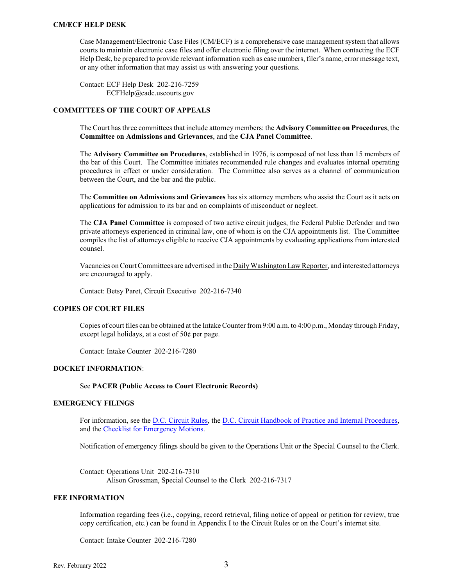#### **CM/ECF HELP DESK**

Case Management/Electronic Case Files (CM/ECF) is a comprehensive case management system that allows courts to maintain electronic case files and offer electronic filing over the internet. When contacting the ECF Help Desk, be prepared to provide relevant information such as case numbers, filer's name, error message text, or any other information that may assist us with answering your questions.

Contact: ECF Help Desk 202-216-7259 ECFHelp@cadc.uscourts.gov

# **COMMITTEES OF THE COURT OF APPEALS**

The Court has three committees that include attorney members: the **Advisory Committee on Procedures**, the **Committee on Admissions and Grievances**, and the **CJA Panel Committee**.

The **Advisory Committee on Procedures**, established in 1976, is composed of not less than 15 members of the bar of this Court. The Committee initiates recommended rule changes and evaluates internal operating procedures in effect or under consideration. The Committee also serves as a channel of communication between the Court, and the bar and the public.

The **Committee on Admissions and Grievances** has six attorney members who assist the Court as it acts on applications for admission to its bar and on complaints of misconduct or neglect.

The **CJA Panel Committee** is composed of two active circuit judges, the Federal Public Defender and two private attorneys experienced in criminal law, one of whom is on the CJA appointments list. The Committee compiles the list of attorneys eligible to receive CJA appointments by evaluating applications from interested counsel.

Vacancies on Court Committees are advertised in the Daily Washington Law Reporter, and interested attorneys are encouraged to apply.

Contact: Betsy Paret, Circuit Executive 202-216-7340

#### **COPIES OF COURT FILES**

Copies of court files can be obtained at the Intake Counter from9:00 a.m. to 4:00 p.m., Monday through Friday, except legal holidays, at a cost of  $50¢$  per page.

Contact: Intake Counter 202-216-7280

#### **DOCKET INFORMATION**:

#### See **PACER (Public Access to Court Electronic Records)**

#### **EMERGENCY FILINGS**

For information, see the [D.C. Circuit Rules](https://www.cadc.uscourts.gov/internet/home.nsf/Content/VL%20-%20RPP%20-%20Circuit%20Rules/$FILE/RulesFRAP20211201.pdf), the D.C. Circuit Handbook of [Practice and Internal Procedures](https://www.cadc.uscourts.gov/internet/home.nsf/Content/VL%20-%20RPP%20-%20Handbook%202006%20Rev%202007/$FILE/Handbook20210316.pdf), and the [Checklist for Emergency Motions](https://www.cadc.uscourts.gov/internet/home.nsf/Content/Stub%20-%20Case%20Information%20-%20Emergency%20Filings/$FILE/Checklist%20for%20Emergency%20Filings%20Form.pdf).

Notification of emergency filings should be given to the Operations Unit or the Special Counsel to the Clerk.

Contact: Operations Unit 202-216-7310 Alison Grossman, Special Counsel to the Clerk 202-216-7317

# **FEE INFORMATION**

Information regarding fees (i.e., copying, record retrieval, filing notice of appeal or petition for review, true copy certification, etc.) can be found in Appendix I to the Circuit Rules or on the Court's internet site.

Contact: Intake Counter 202-216-7280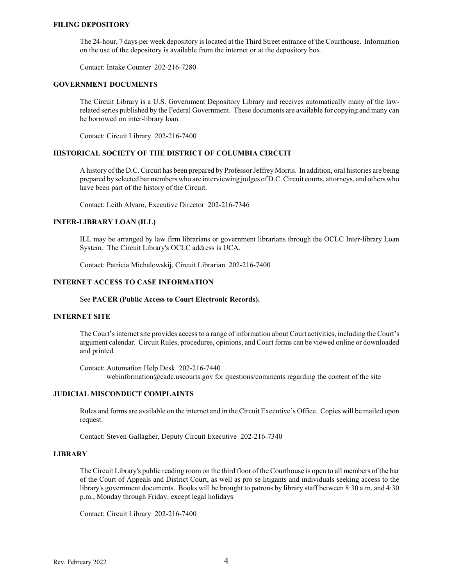#### **FILING DEPOSITORY**

The 24-hour, 7 days per week depository is located at the Third Street entrance of the Courthouse. Information on the use of the depository is available from the internet or at the depository box.

Contact: Intake Counter 202-216-7280

# **GOVERNMENT DOCUMENTS**

The Circuit Library is a U.S. Government Depository Library and receives automatically many of the lawrelated series published by the Federal Government. These documents are available for copying and many can be borrowed on inter-library loan.

Contact: Circuit Library 202-216-7400

#### **HISTORICAL SOCIETY OF THE DISTRICT OF COLUMBIA CIRCUIT**

A history of the D.C. Circuit has been prepared by Professor Jeffrey Morris. In addition, oral histories are being prepared by selected bar members who are interviewing judges ofD.C. Circuit courts, attorneys, and others who have been part of the history of the Circuit.

Contact: Leith Alvaro, Executive Director 202-216-7346

# **INTER-LIBRARY LOAN (ILL)**

ILL may be arranged by law firm librarians or government librarians through the OCLC Inter-library Loan System. The Circuit Library's OCLC address is UCA.

Contact: Patricia Michalowskij, Circuit Librarian 202-216-7400

# **INTERNET ACCESS TO CASE INFORMATION**

#### See **PACER (Public Access to Court Electronic Records).**

#### **INTERNET SITE**

The Court's internet site provides access to a range of information about Court activities, including the Court's argument calendar. Circuit Rules, procedures, opinions, and Court forms can be viewed online or downloaded and printed.

Contact: Automation Help Desk 202-216-7440 webinformation@cadc.uscourts.gov for questions/comments regarding the content of the site

#### **JUDICIAL MISCONDUCT COMPLAINTS**

Rules and forms are available on the internet and in the Circuit Executive's Office. Copies will be mailed upon request.

Contact: Steven Gallagher, Deputy Circuit Executive 202-216-7340

### **LIBRARY**

The Circuit Library's public reading room on the third floor of the Courthouse is open to all members of the bar of the Court of Appeals and District Court, as well as pro se litigants and individuals seeking access to the library's government documents. Books will be brought to patrons by library staff between 8:30 a.m. and 4:30 p.m., Monday through Friday, except legal holidays.

Contact: Circuit Library 202-216-7400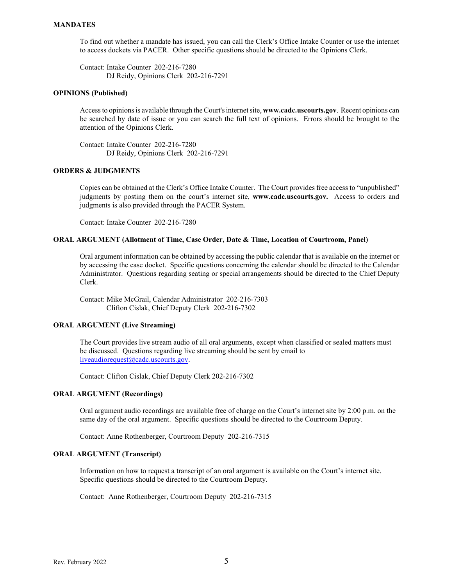# **MANDATES**

To find out whether a mandate has issued, you can call the Clerk's Office Intake Counter or use the internet to access dockets via PACER. Other specific questions should be directed to the Opinions Clerk.

Contact: Intake Counter 202-216-7280 DJ Reidy, Opinions Clerk 202-216-7291

### **OPINIONS (Published)**

Accessto opinions is available through the Court's internet site, **www.cadc.uscourts.gov**. Recent opinions can be searched by date of issue or you can search the full text of opinions. Errors should be brought to the attention of the Opinions Clerk.

Contact: Intake Counter 202-216-7280 DJ Reidy, Opinions Clerk 202-216-7291

# **ORDERS & JUDGMENTS**

Copies can be obtained at the Clerk's Office Intake Counter. The Court provides free access to "unpublished" judgments by posting them on the court's internet site, **www.cadc.uscourts.gov.** Access to orders and judgments is also provided through the PACER System.

Contact: Intake Counter 202-216-7280

### **ORAL ARGUMENT (Allotment of Time, Case Order, Date & Time, Location of Courtroom, Panel)**

Oral argument information can be obtained by accessing the public calendar that is available on the internet or by accessing the case docket. Specific questions concerning the calendar should be directed to the Calendar Administrator. Questions regarding seating or special arrangements should be directed to the Chief Deputy Clerk.

Contact: Mike McGrail, Calendar Administrator 202-216-7303 Clifton Cislak, Chief Deputy Clerk 202-216-7302

### **ORAL ARGUMENT (Live Streaming)**

The Court provides live stream audio of all oral arguments, except when classified or sealed matters must be discussed. Questions regarding live streaming should be sent by email to [liveaudiorequest@cadc.uscourts.gov](mailto:liveaudiorequest@cadc.uscourts.gov?subject=Live%20Audio%20Request).

Contact: Clifton Cislak, Chief Deputy Clerk 202-216-7302

#### **ORAL ARGUMENT (Recordings)**

Oral argument audio recordings are available free of charge on the Court's internet site by 2:00 p.m. on the same day of the oral argument. Specific questions should be directed to the Courtroom Deputy.

Contact: Anne Rothenberger, Courtroom Deputy 202-216-7315

### **ORAL ARGUMENT (Transcript)**

Information on how to request a transcript of an oral argument is available on the Court's internet site. Specific questions should be directed to the Courtroom Deputy.

Contact: Anne Rothenberger, Courtroom Deputy 202-216-7315